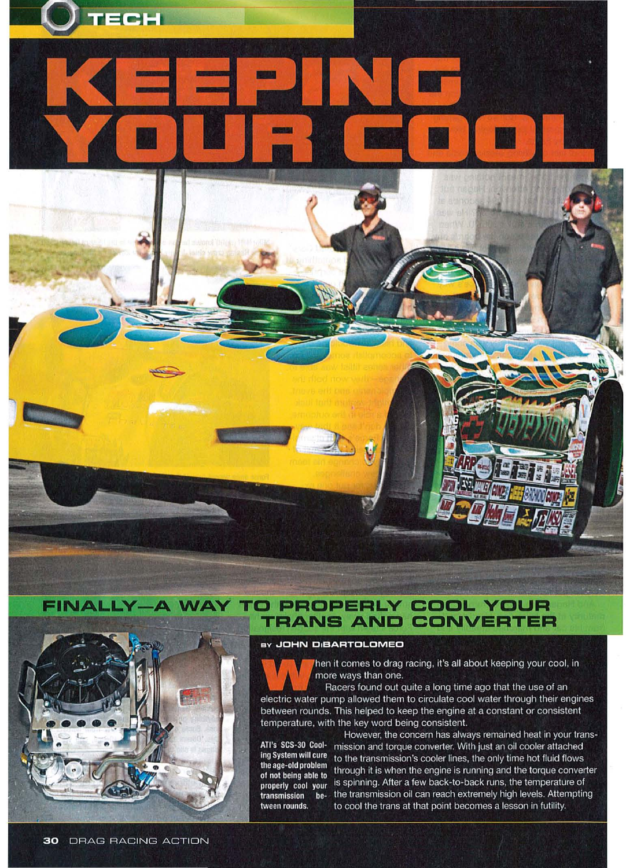



## **FINALLY-A WAY TO PROPERLY COOL YOUR TRANS AND CONVERTER**

## BY JOHN DIBARTOLOMEO



hen it comes to drag racing, it's all about keeping your cool, in more ways than one.

Racers found out quite a long time ago that the use of an electric water pump allowed them to circulate cool water through their engines between rounds. This helped to keep the engine at a constant or consistent temperature, with the key word being consistent.

ATI's SCS-30 Cooling System will cure the age-old problem of not being able to properly cool your transmission tween rounds.

However, the concern has always remained heat in your transmission and torque converter. With just an oil cooler attached to the transmission's cooler lines, the only time hot fluid flows through it is when the engine is running and the torque converter is spinning. After a few back-to-back runs, the temperature of be- the transmission oil can reach extremely high levels. Attempting to cool the trans at that point becomes a lesson in futility.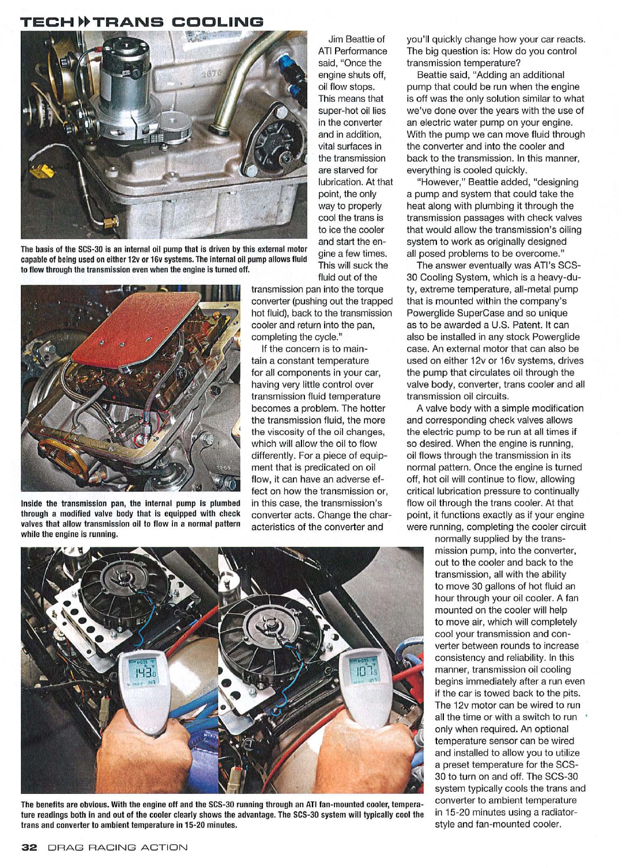## TECH » TRANS COOLING



The basis of the SCS-30 is an internal oil pump that is driven by this external motor capable of being used on either 12v or 16v systems. The internal oil pump allows fluid to flow through the transmission even when the engine is turned off.



Inside the transmission pan, the Internal pump is plumbed through a modified valve body that is equipped with check valves that allow transmission oil to flow in a normal pattern while the engine is running.

ATI Performance said, "Once the engine shuts off, oil flow stops. This means that super-hot oil lies in the converter and in addition, vital surfaces in the transmission are starved for lubrication. At that point, the only way to properly cool the trans is to ice the cooler and start the engine a few times. This will suck the

fluid out of the

Jim Beattie of

transmission pan into the torque converter (pushing out the trapped hot fluid), back to the transmission cooler and return into the pan, completing the cycle."

If the concern is to maintain a constant temperature for all components in your car, having very little control over transmission fluid temperature becomes a problem. The hotter the transmission fluid, the more the viscosity of the oil changes, which will allow the oil to flow differently. For a piece of equipment that is predicated on oil flow, it can have an adverse effect on how the transmission or, in this case, the transmission's converter acts. Change the characteristics of the converter and

you'll quickly change how your car reacts. The big question is: How do you control transmission temperature?

Beattie said, "Adding an additional pump that could be run when the engine is off was the only solution similar to what we've done over the years with the use of an electric water pump on your engine. With the pump we can move fluid through the converter and into the cooler and back to the transmission. In this manner, everything is cooled quickly.

"However," Beattie added, "designing a pump and system that could take the heat along with plumbing it through the transmission passages with check valves that would allow the transmission's oiling system to work as originally designed all posed problems to be overcome."

The answer eventually was ATI's SCS-30 Cooling System, which is a heavy-duty, extreme temperature, all-metal pump that is mounted within the company's Powerglide SuperCase and so unique as to be awarded a U.S. Patent. It can also be installed in any stock Powerglide case. An external motor that can also be used on either 12v or 16v systems, drives the pump that circulates oil through the valve body, converter, trans cooler and all transmission oil circuits.

A valve body with a simple modification and corresponding check valves allows the electric pump to be run at all times if so desired. When the engine is running, oil flows through the transmission in its normal pattern. Once the engine is turned off, hot oil will continue to flow, allowing critical lubrication pressure to continually flow oil through the trans cooler. At that point, it functions exactly as if your engine were running, completing the cooler circuit

> normally supplied by the transmission pump, into the converter, out to the cooler and back to the transmission, all with the ability to move 30 gallons of hot fluid an hour through your oil cooler. A fan mounted on the cooler will help to move air, which will completely cool your transmission and converter between rounds to increase consistency and reliability. In this manner, transmission oil cooling begins immediately after a run even if the car is towed back to the pits. The 12v motor can be wired to run all the time or with a switch to run only when required. An optional temperature sensor can be wired and installed to allow you to utilize a preset temperature for the SCS-30 to turn on and off. The SCS-30 system typically cools the trans and converter to ambient temperature in 15-20 minutes using a radiatorstyle and fan-mounted cooler.



The benefits are obvious. With the engine off and the SCS-30 running through an ATI fan-mounted cooler, temperature readings both in and out of the cooler clearly shows the advantage. The SCS-30 system will typically cool the trans and converter to ambient temperature in 15-20 minutes.